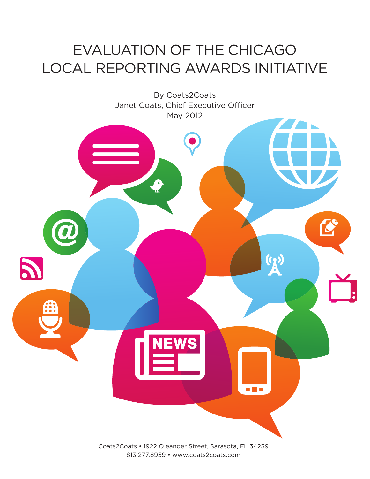# Evaluation of the Chicago Local Reporting Awards Initiative



813.277.8959 • www.coats2coats.com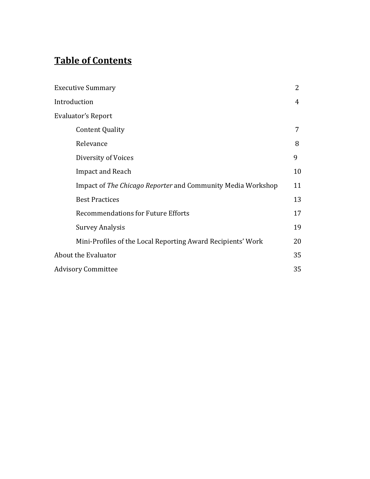## **Table of Contents**

| <b>Executive Summary</b>                                    | 2  |
|-------------------------------------------------------------|----|
| Introduction                                                | 4  |
| Evaluator's Report                                          |    |
| <b>Content Quality</b>                                      | 7  |
| Relevance                                                   | 8  |
| Diversity of Voices                                         | 9  |
| <b>Impact and Reach</b>                                     | 10 |
| Impact of The Chicago Reporter and Community Media Workshop | 11 |
| <b>Best Practices</b>                                       | 13 |
| <b>Recommendations for Future Efforts</b>                   | 17 |
| <b>Survey Analysis</b>                                      | 19 |
| Mini-Profiles of the Local Reporting Award Recipients' Work | 20 |
| About the Evaluator                                         | 35 |
| <b>Advisory Committee</b>                                   | 35 |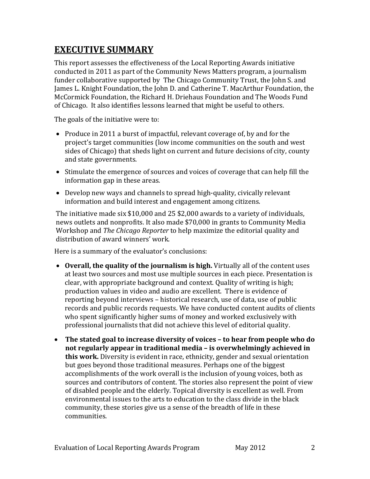## **EXECUTIVE SUMMARY**

This report assesses the effectiveness of the Local Reporting Awards initiative conducted in 2011 as part of the Community News Matters program, a journalism funder collaborative supported by The Chicago Community Trust, the John S. and James L. Knight Foundation, the John D. and Catherine T. MacArthur Foundation, the McCormick Foundation, the Richard H. Driehaus Foundation and The Woods Fund of Chicago. It also identifies lessons learned that might be useful to others.

The goals of the initiative were to:

- Produce in 2011 a burst of impactful, relevant coverage of, by and for the project's target communities (low income communities on the south and west sides of Chicago) that sheds light on current and future decisions of city, county and state governments.
- Stimulate the emergence of sources and voices of coverage that can help fill the information gap in these areas.
- Develop new ways and channels to spread high-quality, civically relevant information and build interest and engagement among citizens.

The initiative made six \$10,000 and 25 \$2,000 awards to a variety of individuals, news outlets and nonprofits. It also made \$70,000 in grants to Community Media Workshop and *The Chicago Reporter* to help maximize the editorial quality and distribution of award winners' work.

Here is a summary of the evaluator's conclusions:

- **Overall, the quality of the journalism is high.** Virtually all of the content uses at least two sources and most use multiple sources in each piece. Presentation is clear, with appropriate background and context. Quality of writing is high; production values in video and audio are excellent. There is evidence of reporting beyond interviews – historical research, use of data, use of public records and public records requests. We have conducted content audits of clients who spent significantly higher sums of money and worked exclusively with professional journalists that did not achieve this level of editorial quality.
- **The stated goal to increase diversity of voices – to hear from people who do not regularly appear in traditional media – is overwhelmingly achieved in this work.** Diversity is evident in race, ethnicity, gender and sexual orientation but goes beyond those traditional measures. Perhaps one of the biggest accomplishments of the work overall is the inclusion of young voices, both as sources and contributors of content. The stories also represent the point of view of disabled people and the elderly. Topical diversity is excellent as well. From environmental issues to the arts to education to the class divide in the black community, these stories give us a sense of the breadth of life in these communities.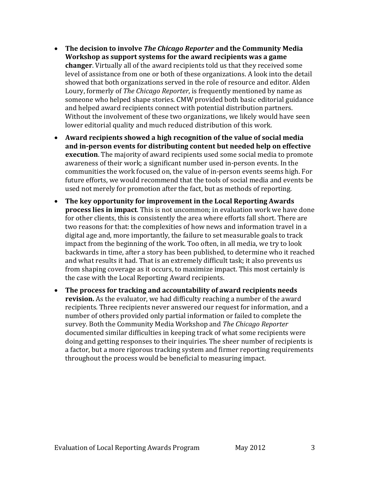- **The decision to involve** *The Chicago Reporter* **and the Community Media Workshop as support systems for the award recipients was a game changer**. Virtually all of the award recipients told us that they received some level of assistance from one or both of these organizations. A look into the detail showed that both organizations served in the role of resource and editor. Alden Loury, formerly of *The Chicago Reporter*, is frequently mentioned by name as someone who helped shape stories. CMW provided both basic editorial guidance and helped award recipients connect with potential distribution partners. Without the involvement of these two organizations, we likely would have seen lower editorial quality and much reduced distribution of this work.
- **Award recipients showed a high recognition of the value of social media and in-person events for distributing content but needed help on effective execution**. The majority of award recipients used some social media to promote awareness of their work; a significant number used in-person events. In the communities the work focused on, the value of in-person events seems high. For future efforts, we would recommend that the tools of social media and events be used not merely for promotion after the fact, but as methods of reporting.
- **The key opportunity for improvement in the Local Reporting Awards process lies in impact**. This is not uncommon; in evaluation work we have done for other clients, this is consistently the area where efforts fall short. There are two reasons for that: the complexities of how news and information travel in a digital age and, more importantly, the failure to set measurable goals to track impact from the beginning of the work. Too often, in all media, we try to look backwards in time, after a story has been published, to determine who it reached and what results it had. That is an extremely difficult task; it also prevents us from shaping coverage as it occurs, to maximize impact. This most certainly is the case with the Local Reporting Award recipients.
- **The process for tracking and accountability of award recipients needs revision.** As the evaluator, we had difficulty reaching a number of the award recipients. Three recipients never answered our request for information, and a number of others provided only partial information or failed to complete the survey. Both the Community Media Workshop and *The Chicago Reporter* documented similar difficulties in keeping track of what some recipients were doing and getting responses to their inquiries. The sheer number of recipients is a factor, but a more rigorous tracking system and firmer reporting requirements throughout the process would be beneficial to measuring impact.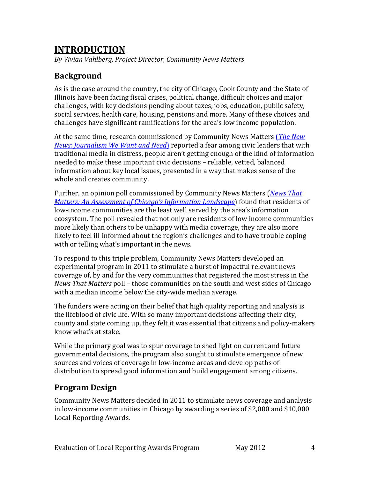## **INTRODUCTION**

*By Vivian Vahlberg, Project Director, Community News Matters*

### **Background**

As is the case around the country, the city of Chicago, Cook County and the State of Illinois have been facing fiscal crises, political change, difficult choices and major challenges, with key decisions pending about taxes, jobs, education, public safety, social services, health care, housing, pensions and more. Many of these choices and challenges have significant ramifications for the area's low income population.

At the same time, research commissioned by Community News Matters (*[The New](http://www.cct.org/sites/cct.org/files/CCT_TheNewNews.pdf)  [News: Journalism We Want and Need](http://www.cct.org/sites/cct.org/files/CCT_TheNewNews.pdf)*) reported a fear among civic leaders that with traditional media in distress, people aren't getting enough of the kind of information needed to make these important civic decisions – reliable, vetted, balanced information about key local issues, presented in a way that makes sense of the whole and creates community.

Further, an opinion poll commissioned by Community News Matters (*[News That](http://www.cct.org/sites/cct.org/files/CNM_NewsThatMatters_0711.pdf)  [Matters: An Assessment of Chicago's Information Landscape](http://www.cct.org/sites/cct.org/files/CNM_NewsThatMatters_0711.pdf)*) found that residents of low-income communities are the least well served by the area's information ecosystem. The poll revealed that not only are residents of low income communities more likely than others to be unhappy with media coverage, they are also more likely to feel ill-informed about the region's challenges and to have trouble coping with or telling what's important in the news.

To respond to this triple problem, Community News Matters developed an experimental program in 2011 to stimulate a burst of impactful relevant news coverage of, by and for the very communities that registered the most stress in the *News That Matters* poll – those communities on the south and west sides of Chicago with a median income below the city-wide median average.

The funders were acting on their belief that high quality reporting and analysis is the lifeblood of civic life. With so many important decisions affecting their city, county and state coming up, they felt it was essential that citizens and policy-makers know what's at stake.

While the primary goal was to spur coverage to shed light on current and future governmental decisions, the program also sought to stimulate emergence of new sources and voices of coverage in low-income areas and develop paths of distribution to spread good information and build engagement among citizens.

### **Program Design**

Community News Matters decided in 2011 to stimulate news coverage and analysis in low-income communities in Chicago by awarding a series of \$2,000 and \$10,000 Local Reporting Awards.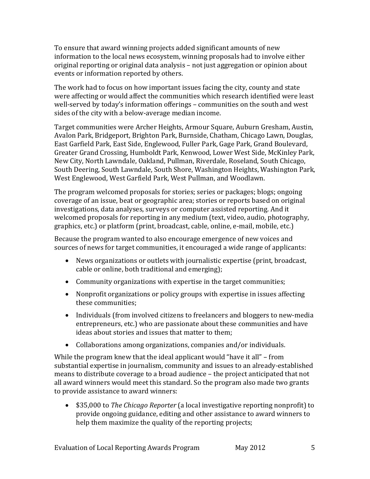To ensure that award winning projects added significant amounts of new information to the local news ecosystem, winning proposals had to involve either original reporting or original data analysis – not just aggregation or opinion about events or information reported by others.

The work had to focus on how important issues facing the city, county and state were affecting or would affect the communities which research identified were least well-served by today's information offerings – communities on the south and west sides of the city with a below-average median income.

Target communities were Archer Heights, Armour Square, Auburn Gresham, Austin, Avalon Park, Bridgeport, Brighton Park, Burnside, Chatham, Chicago Lawn, Douglas, East Garfield Park, East Side, Englewood, Fuller Park, Gage Park, Grand Boulevard, Greater Grand Crossing, Humboldt Park, Kenwood, Lower West Side, McKinley Park, New City, North Lawndale, Oakland, Pullman, Riverdale, Roseland, South Chicago, South Deering, South Lawndale, South Shore, Washington Heights, Washington Park, West Englewood, West Garfield Park, West Pullman, and Woodlawn.

The program welcomed proposals for stories; series or packages; blogs; ongoing coverage of an issue, beat or geographic area; stories or reports based on original investigations, data analyses, surveys or computer assisted reporting. And it welcomed proposals for reporting in any medium (text, video, audio, photography, graphics, etc.) or platform (print, broadcast, cable, online, e-mail, mobile, etc.)

Because the program wanted to also encourage emergence of new voices and sources of news for target communities, it encouraged a wide range of applicants:

- News organizations or outlets with journalistic expertise (print, broadcast, cable or online, both traditional and emerging);
- Community organizations with expertise in the target communities;
- Nonprofit organizations or policy groups with expertise in issues affecting these communities;
- Individuals (from involved citizens to freelancers and bloggers to new-media entrepreneurs, etc.) who are passionate about these communities and have ideas about stories and issues that matter to them;
- Collaborations among organizations, companies and/or individuals.

While the program knew that the ideal applicant would "have it all" – from substantial expertise in journalism, community and issues to an already-established means to distribute coverage to a broad audience – the project anticipated that not all award winners would meet this standard. So the program also made two grants to provide assistance to award winners:

• \$35,000 to *The Chicago Reporter* (a local investigative reporting nonprofit) to provide ongoing guidance, editing and other assistance to award winners to help them maximize the quality of the reporting projects;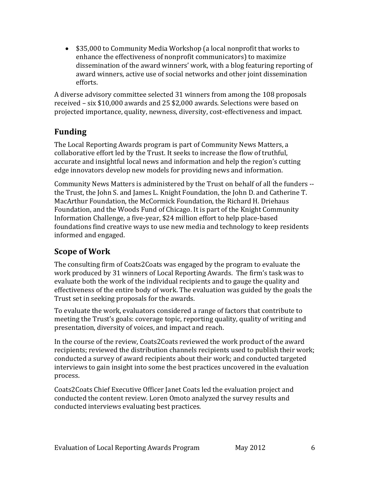• \$35,000 to Community Media Workshop (a local nonprofit that works to enhance the effectiveness of nonprofit communicators) to maximize dissemination of the award winners' work, with a blog featuring reporting of award winners, active use of social networks and other joint dissemination efforts.

A diverse advisory committee selected 31 winners from among the 108 proposals received – six \$10,000 awards and 25 \$2,000 awards. Selections were based on projected importance, quality, newness, diversity, cost-effectiveness and impact.

### **Funding**

The Local Reporting Awards program is part of Community News Matters, a collaborative effort led by the Trust. It seeks to increase the flow of truthful, accurate and insightful local news and information and help the region's cutting edge innovators develop new models for providing news and information.

Community News Matters is administered by the Trust on behalf of all the funders - the Trust, the John S. and James L. Knight Foundation, the John D. and Catherine T. MacArthur Foundation, the McCormick Foundation, the Richard H. Driehaus Foundation, and the Woods Fund of Chicago. It is part of the Knight Community Information Challenge, a five-year, \$24 million effort to help place-based foundations find creative ways to use new media and technology to keep residents informed and engaged.

### **Scope of Work**

The consulting firm of Coats2Coats was engaged by the program to evaluate the work produced by 31 winners of Local Reporting Awards. The firm's task was to evaluate both the work of the individual recipients and to gauge the quality and effectiveness of the entire body of work. The evaluation was guided by the goals the Trust set in seeking proposals for the awards.

To evaluate the work, evaluators considered a range of factors that contribute to meeting the Trust's goals: coverage topic, reporting quality, quality of writing and presentation, diversity of voices, and impact and reach.

In the course of the review, Coats2Coats reviewed the work product of the award recipients; reviewed the distribution channels recipients used to publish their work; conducted a survey of award recipients about their work; and conducted targeted interviews to gain insight into some the best practices uncovered in the evaluation process.

Coats2Coats Chief Executive Officer Janet Coats led the evaluation project and conducted the content review. Loren Omoto analyzed the survey results and conducted interviews evaluating best practices.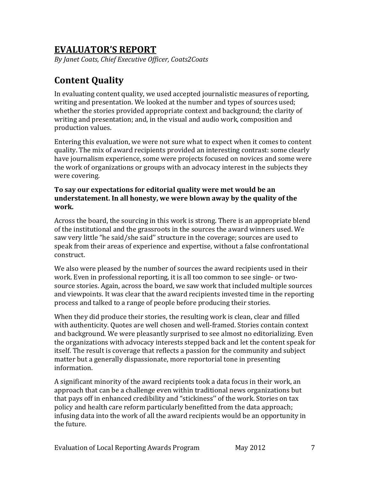## **EVALUATOR'S REPORT**

*By Janet Coats, Chief Executive Officer, Coats2Coats*

## **Content Quality**

In evaluating content quality, we used accepted journalistic measures of reporting, writing and presentation. We looked at the number and types of sources used; whether the stories provided appropriate context and background; the clarity of writing and presentation; and, in the visual and audio work, composition and production values.

Entering this evaluation, we were not sure what to expect when it comes to content quality. The mix of award recipients provided an interesting contrast: some clearly have journalism experience, some were projects focused on novices and some were the work of organizations or groups with an advocacy interest in the subjects they were covering.

#### **To say our expectations for editorial quality were met would be an understatement. In all honesty, we were blown away by the quality of the work.**

Across the board, the sourcing in this work is strong. There is an appropriate blend of the institutional and the grassroots in the sources the award winners used. We saw very little "he said/she said'' structure in the coverage; sources are used to speak from their areas of experience and expertise, without a false confrontational construct.

We also were pleased by the number of sources the award recipients used in their work. Even in professional reporting, it is all too common to see single- or twosource stories. Again, across the board, we saw work that included multiple sources and viewpoints. It was clear that the award recipients invested time in the reporting process and talked to a range of people before producing their stories.

When they did produce their stories, the resulting work is clean, clear and filled with authenticity. Quotes are well chosen and well-framed. Stories contain context and background. We were pleasantly surprised to see almost no editorializing. Even the organizations with advocacy interests stepped back and let the content speak for itself. The result is coverage that reflects a passion for the community and subject matter but a generally dispassionate, more reportorial tone in presenting information.

A significant minority of the award recipients took a data focus in their work, an approach that can be a challenge even within traditional news organizations but that pays off in enhanced credibility and "stickiness'' of the work. Stories on tax policy and health care reform particularly benefitted from the data approach; infusing data into the work of all the award recipients would be an opportunity in the future.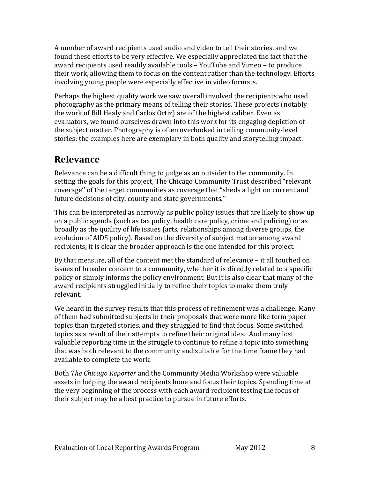A number of award recipients used audio and video to tell their stories, and we found these efforts to be very effective. We especially appreciated the fact that the award recipients used readily available tools – YouTube and Vimeo – to produce their work, allowing them to focus on the content rather than the technology. Efforts involving young people were especially effective in video formats.

Perhaps the highest quality work we saw overall involved the recipients who used photography as the primary means of telling their stories. These projects (notably the work of Bill Healy and Carlos Ortiz) are of the highest caliber. Even as evaluators, we found ourselves drawn into this work for its engaging depiction of the subject matter. Photography is often overlooked in telling community-level stories; the examples here are exemplary in both quality and storytelling impact.

## **Relevance**

Relevance can be a difficult thing to judge as an outsider to the community. In setting the goals for this project, The Chicago Community Trust described "relevant coverage'' of the target communities as coverage that "sheds a light on current and future decisions of city, county and state governments.''

This can be interpreted as narrowly as public policy issues that are likely to show up on a public agenda (such as tax policy, health care policy, crime and policing) or as broadly as the quality of life issues (arts, relationships among diverse groups, the evolution of AIDS policy). Based on the diversity of subject matter among award recipients, it is clear the broader approach is the one intended for this project.

By that measure, all of the content met the standard of relevance – it all touched on issues of broader concern to a community, whether it is directly related to a specific policy or simply informs the policy environment. But it is also clear that many of the award recipients struggled initially to refine their topics to make them truly relevant.

We heard in the survey results that this process of refinement was a challenge. Many of them had submitted subjects in their proposals that were more like term paper topics than targeted stories, and they struggled to find that focus. Some switched topics as a result of their attempts to refine their original idea. And many lost valuable reporting time in the struggle to continue to refine a topic into something that was both relevant to the community and suitable for the time frame they had available to complete the work.

Both *The Chicago Reporter* and the Community Media Workshop were valuable assets in helping the award recipients hone and focus their topics. Spending time at the very beginning of the process with each award recipient testing the focus of their subject may be a best practice to pursue in future efforts.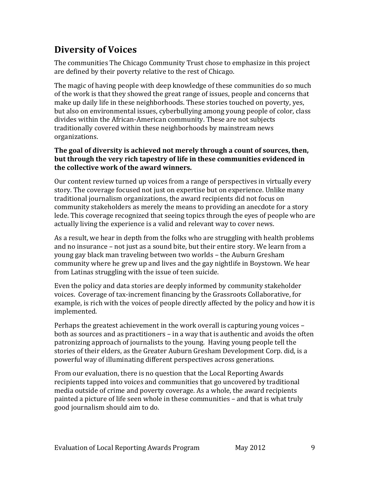## **Diversity of Voices**

The communities The Chicago Community Trust chose to emphasize in this project are defined by their poverty relative to the rest of Chicago.

The magic of having people with deep knowledge of these communities do so much of the work is that they showed the great range of issues, people and concerns that make up daily life in these neighborhoods. These stories touched on poverty, yes, but also on environmental issues, cyberbullying among young people of color, class divides within the African-American community. These are not subjects traditionally covered within these neighborhoods by mainstream news organizations.

#### **The goal of diversity is achieved not merely through a count of sources, then, but through the very rich tapestry of life in these communities evidenced in the collective work of the award winners.**

Our content review turned up voices from a range of perspectives in virtually every story. The coverage focused not just on expertise but on experience. Unlike many traditional journalism organizations, the award recipients did not focus on community stakeholders as merely the means to providing an anecdote for a story lede. This coverage recognized that seeing topics through the eyes of people who are actually living the experience is a valid and relevant way to cover news.

As a result, we hear in depth from the folks who are struggling with health problems and no insurance – not just as a sound bite, but their entire story. We learn from a young gay black man traveling between two worlds – the Auburn Gresham community where he grew up and lives and the gay nightlife in Boystown. We hear from Latinas struggling with the issue of teen suicide.

Even the policy and data stories are deeply informed by community stakeholder voices. Coverage of tax-increment financing by the Grassroots Collaborative, for example, is rich with the voices of people directly affected by the policy and how it is implemented.

Perhaps the greatest achievement in the work overall is capturing young voices – both as sources and as practitioners – in a way that is authentic and avoids the often patronizing approach of journalists to the young. Having young people tell the stories of their elders, as the Greater Auburn Gresham Development Corp. did, is a powerful way of illuminating different perspectives across generations.

From our evaluation, there is no question that the Local Reporting Awards recipients tapped into voices and communities that go uncovered by traditional media outside of crime and poverty coverage. As a whole, the award recipients painted a picture of life seen whole in these communities – and that is what truly good journalism should aim to do.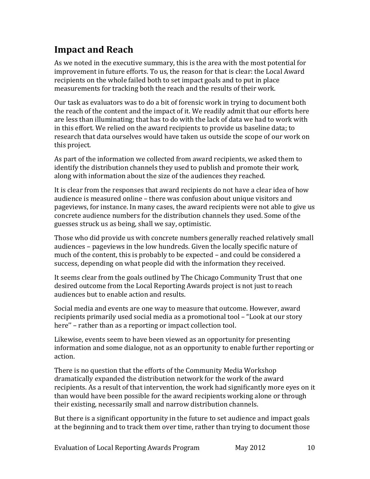## **Impact and Reach**

As we noted in the executive summary, this is the area with the most potential for improvement in future efforts. To us, the reason for that is clear: the Local Award recipients on the whole failed both to set impact goals and to put in place measurements for tracking both the reach and the results of their work.

Our task as evaluators was to do a bit of forensic work in trying to document both the reach of the content and the impact of it. We readily admit that our efforts here are less than illuminating; that has to do with the lack of data we had to work with in this effort. We relied on the award recipients to provide us baseline data; to research that data ourselves would have taken us outside the scope of our work on this project.

As part of the information we collected from award recipients, we asked them to identify the distribution channels they used to publish and promote their work, along with information about the size of the audiences they reached.

It is clear from the responses that award recipients do not have a clear idea of how audience is measured online – there was confusion about unique visitors and pageviews, for instance. In many cases, the award recipients were not able to give us concrete audience numbers for the distribution channels they used. Some of the guesses struck us as being, shall we say, optimistic.

Those who did provide us with concrete numbers generally reached relatively small audiences – pageviews in the low hundreds. Given the locally specific nature of much of the content, this is probably to be expected – and could be considered a success, depending on what people did with the information they received.

It seems clear from the goals outlined by The Chicago Community Trust that one desired outcome from the Local Reporting Awards project is not just to reach audiences but to enable action and results.

Social media and events are one way to measure that outcome. However, award recipients primarily used social media as a promotional tool – "Look at our story here'' – rather than as a reporting or impact collection tool.

Likewise, events seem to have been viewed as an opportunity for presenting information and some dialogue, not as an opportunity to enable further reporting or action.

There is no question that the efforts of the Community Media Workshop dramatically expanded the distribution network for the work of the award recipients. As a result of that intervention, the work had significantly more eyes on it than would have been possible for the award recipients working alone or through their existing, necessarily small and narrow distribution channels.

But there is a significant opportunity in the future to set audience and impact goals at the beginning and to track them over time, rather than trying to document those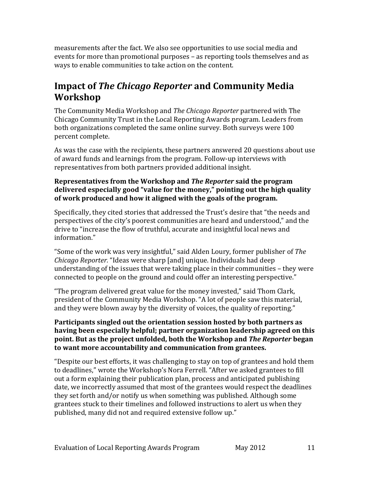measurements after the fact. We also see opportunities to use social media and events for more than promotional purposes – as reporting tools themselves and as ways to enable communities to take action on the content.

## **Impact of** *The Chicago Reporter* **and Community Media Workshop**

The Community Media Workshop and *The Chicago Reporter* partnered with The Chicago Community Trust in the Local Reporting Awards program. Leaders from both organizations completed the same online survey. Both surveys were 100 percent complete.

As was the case with the recipients, these partners answered 20 questions about use of award funds and learnings from the program. Follow-up interviews with representatives from both partners provided additional insight.

#### **Representatives from the Workshop and** *The Reporter* **said the program delivered especially good "value for the money," pointing out the high quality of work produced and how it aligned with the goals of the program.**

Specifically, they cited stories that addressed the Trust's desire that "the needs and perspectives of the city's poorest communities are heard and understood," and the drive to "increase the flow of truthful, accurate and insightful local news and information."

"Some of the work was very insightful," said Alden Loury, former publisher of *The Chicago Reporter.* "Ideas were sharp [and] unique. Individuals had deep understanding of the issues that were taking place in their communities – they were connected to people on the ground and could offer an interesting perspective."

"The program delivered great value for the money invested," said Thom Clark, president of the Community Media Workshop. "A lot of people saw this material, and they were blown away by the diversity of voices, the quality of reporting."

#### **Participants singled out the orientation session hosted by both partners as having been especially helpful; partner organization leadership agreed on this point. But as the project unfolded, both the Workshop and** *The Reporter* **began to want more accountability and communication from grantees.**

"Despite our best efforts, it was challenging to stay on top of grantees and hold them to deadlines," wrote the Workshop's Nora Ferrell. "After we asked grantees to fill out a form explaining their publication plan, process and anticipated publishing date, we incorrectly assumed that most of the grantees would respect the deadlines they set forth and/or notify us when something was published. Although some grantees stuck to their timelines and followed instructions to alert us when they published, many did not and required extensive follow up."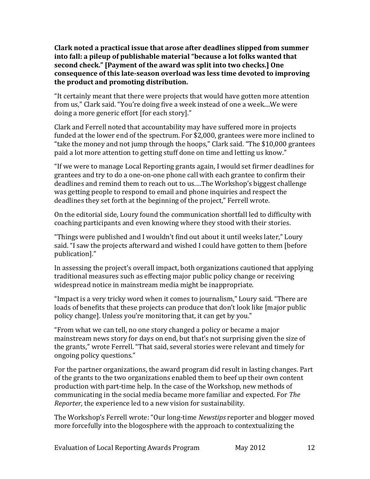**Clark noted a practical issue that arose after deadlines slipped from summer into fall: a pileup of publishable material "because a lot folks wanted that second check." [Payment of the award was split into two checks.] One consequence of this late-season overload was less time devoted to improving the product and promoting distribution.**

"It certainly meant that there were projects that would have gotten more attention from us," Clark said. "You're doing five a week instead of one a week....We were doing a more generic effort [for each story]."

Clark and Ferrell noted that accountability may have suffered more in projects funded at the lower end of the spectrum. For \$2,000, grantees were more inclined to "take the money and not jump through the hoops," Clark said. "The \$10,000 grantees paid a lot more attention to getting stuff done on time and letting us know."

"If we were to manage Local Reporting grants again, I would set firmer deadlines for grantees and try to do a one-on-one phone call with each grantee to confirm their deadlines and remind them to reach out to us.…The Workshop's biggest challenge was getting people to respond to email and phone inquiries and respect the deadlines they set forth at the beginning of the project," Ferrell wrote.

On the editorial side, Loury found the communication shortfall led to difficulty with coaching participants and even knowing where they stood with their stories.

"Things were published and I wouldn't find out about it until weeks later," Loury said. "I saw the projects afterward and wished I could have gotten to them [before publication]."

In assessing the project's overall impact, both organizations cautioned that applying traditional measures such as effecting major public policy change or receiving widespread notice in mainstream media might be inappropriate.

"Impact is a very tricky word when it comes to journalism," Loury said. "There are loads of benefits that these projects can produce that don't look like [major public policy change]. Unless you're monitoring that, it can get by you."

"From what we can tell, no one story changed a policy or became a major mainstream news story for days on end, but that's not surprising given the size of the grants," wrote Ferrell. "That said, several stories were relevant and timely for ongoing policy questions."

For the partner organizations, the award program did result in lasting changes. Part of the grants to the two organizations enabled them to beef up their own content production with part-time help. In the case of the Workshop, new methods of communicating in the social media became more familiar and expected. For *The Reporter,* the experience led to a new vision for sustainability.

The Workshop's Ferrell wrote: "Our long-time *Newstips* reporter and blogger moved more forcefully into the blogosphere with the approach to contextualizing the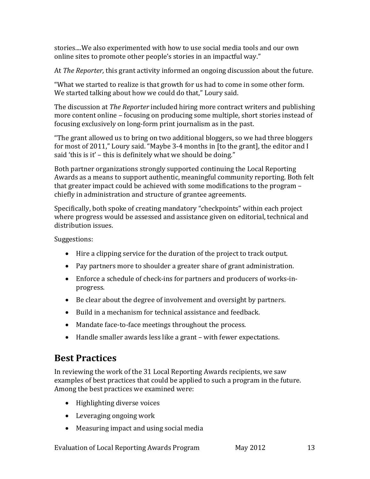stories....We also experimented with how to use social media tools and our own online sites to promote other people's stories in an impactful way."

At *The Reporter,* this grant activity informed an ongoing discussion about the future.

"What we started to realize is that growth for us had to come in some other form. We started talking about how we could do that," Loury said.

The discussion at *The Reporter* included hiring more contract writers and publishing more content online – focusing on producing some multiple, short stories instead of focusing exclusively on long-form print journalism as in the past.

"The grant allowed us to bring on two additional bloggers, so we had three bloggers for most of 2011," Loury said. "Maybe 3-4 months in [to the grant], the editor and I said 'this is it' – this is definitely what we should be doing."

Both partner organizations strongly supported continuing the Local Reporting Awards as a means to support authentic, meaningful community reporting. Both felt that greater impact could be achieved with some modifications to the program – chiefly in administration and structure of grantee agreements.

Specifically, both spoke of creating mandatory "checkpoints" within each project where progress would be assessed and assistance given on editorial, technical and distribution issues.

Suggestions:

- Hire a clipping service for the duration of the project to track output.
- Pay partners more to shoulder a greater share of grant administration.
- Enforce a schedule of check-ins for partners and producers of works-inprogress.
- Be clear about the degree of involvement and oversight by partners.
- Build in a mechanism for technical assistance and feedback.
- Mandate face-to-face meetings throughout the process.
- Handle smaller awards less like a grant with fewer expectations.

## **Best Practices**

In reviewing the work of the 31 Local Reporting Awards recipients, we saw examples of best practices that could be applied to such a program in the future. Among the best practices we examined were:

- Highlighting diverse voices
- Leveraging ongoing work
- Measuring impact and using social media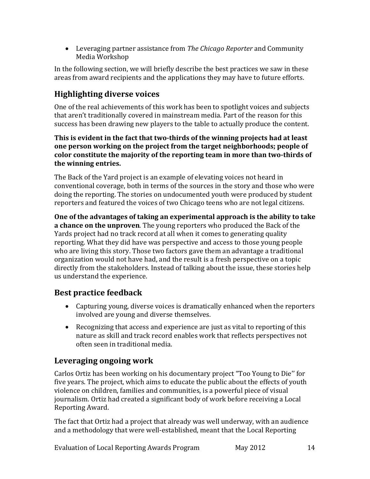• Leveraging partner assistance from *The Chicago Reporter* and Community Media Workshop

In the following section, we will briefly describe the best practices we saw in these areas from award recipients and the applications they may have to future efforts.

## **Highlighting diverse voices**

One of the real achievements of this work has been to spotlight voices and subjects that aren't traditionally covered in mainstream media. Part of the reason for this success has been drawing new players to the table to actually produce the content.

**This is evident in the fact that two-thirds of the winning projects had at least one person working on the project from the target neighborhoods; people of color constitute the majority of the reporting team in more than two-thirds of the winning entries.**

The Back of the Yard project is an example of elevating voices not heard in conventional coverage, both in terms of the sources in the story and those who were doing the reporting. The stories on undocumented youth were produced by student reporters and featured the voices of two Chicago teens who are not legal citizens.

**One of the advantages of taking an experimental approach is the ability to take a chance on the unproven**. The young reporters who produced the Back of the Yards project had no track record at all when it comes to generating quality reporting. What they did have was perspective and access to those young people who are living this story. Those two factors gave them an advantage a traditional organization would not have had, and the result is a fresh perspective on a topic directly from the stakeholders. Instead of talking about the issue, these stories help us understand the experience.

### **Best practice feedback**

- Capturing young, diverse voices is dramatically enhanced when the reporters involved are young and diverse themselves.
- Recognizing that access and experience are just as vital to reporting of this nature as skill and track record enables work that reflects perspectives not often seen in traditional media.

## **Leveraging ongoing work**

Carlos Ortiz has been working on his documentary project "Too Young to Die'' for five years. The project, which aims to educate the public about the effects of youth violence on children, families and communities, is a powerful piece of visual journalism. Ortiz had created a significant body of work before receiving a Local Reporting Award.

The fact that Ortiz had a project that already was well underway, with an audience and a methodology that were well-established, meant that the Local Reporting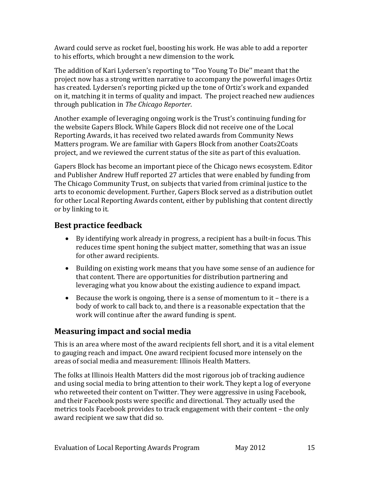Award could serve as rocket fuel, boosting his work. He was able to add a reporter to his efforts, which brought a new dimension to the work.

The addition of Kari Lydersen's reporting to "Too Young To Die'' meant that the project now has a strong written narrative to accompany the powerful images Ortiz has created. Lydersen's reporting picked up the tone of Ortiz's work and expanded on it, matching it in terms of quality and impact. The project reached new audiences through publication in *The Chicago Reporter*.

Another example of leveraging ongoing work is the Trust's continuing funding for the website Gapers Block. While Gapers Block did not receive one of the Local Reporting Awards, it has received two related awards from Community News Matters program. We are familiar with Gapers Block from another Coats2Coats project, and we reviewed the current status of the site as part of this evaluation.

Gapers Block has become an important piece of the Chicago news ecosystem. Editor and Publisher Andrew Huff reported 27 articles that were enabled by funding from The Chicago Community Trust, on subjects that varied from criminal justice to the arts to economic development. Further, Gapers Block served as a distribution outlet for other Local Reporting Awards content, either by publishing that content directly or by linking to it.

### **Best practice feedback**

- By identifying work already in progress, a recipient has a built-in focus. This reduces time spent honing the subject matter, something that was an issue for other award recipients.
- Building on existing work means that you have some sense of an audience for that content. There are opportunities for distribution partnering and leveraging what you know about the existing audience to expand impact.
- Because the work is ongoing, there is a sense of momentum to it there is a body of work to call back to, and there is a reasonable expectation that the work will continue after the award funding is spent.

### **Measuring impact and social media**

This is an area where most of the award recipients fell short, and it is a vital element to gauging reach and impact. One award recipient focused more intensely on the areas of social media and measurement: Illinois Health Matters.

The folks at Illinois Health Matters did the most rigorous job of tracking audience and using social media to bring attention to their work. They kept a log of everyone who retweeted their content on Twitter. They were aggressive in using Facebook, and their Facebook posts were specific and directional. They actually used the metrics tools Facebook provides to track engagement with their content – the only award recipient we saw that did so.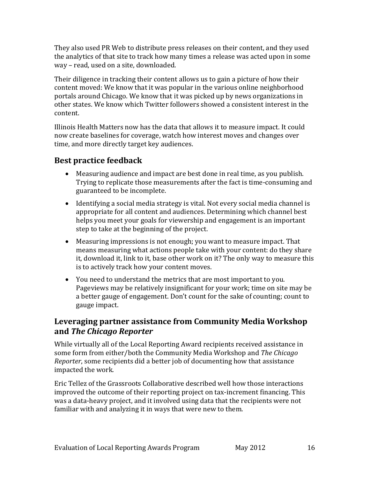They also used PR Web to distribute press releases on their content, and they used the analytics of that site to track how many times a release was acted upon in some way – read, used on a site, downloaded.

Their diligence in tracking their content allows us to gain a picture of how their content moved: We know that it was popular in the various online neighborhood portals around Chicago. We know that it was picked up by news organizations in other states. We know which Twitter followers showed a consistent interest in the content.

Illinois Health Matters now has the data that allows it to measure impact. It could now create baselines for coverage, watch how interest moves and changes over time, and more directly target key audiences.

### **Best practice feedback**

- Measuring audience and impact are best done in real time, as you publish. Trying to replicate those measurements after the fact is time-consuming and guaranteed to be incomplete.
- Identifying a social media strategy is vital. Not every social media channel is appropriate for all content and audiences. Determining which channel best helps you meet your goals for viewership and engagement is an important step to take at the beginning of the project.
- Measuring impressions is not enough; you want to measure impact. That means measuring what actions people take with your content: do they share it, download it, link to it, base other work on it? The only way to measure this is to actively track how your content moves.
- You need to understand the metrics that are most important to you. Pageviews may be relatively insignificant for your work; time on site may be a better gauge of engagement. Don't count for the sake of counting; count to gauge impact.

### **Leveraging partner assistance from Community Media Workshop and** *The Chicago Reporter*

While virtually all of the Local Reporting Award recipients received assistance in some form from either/both the Community Media Workshop and *The Chicago Reporter*, some recipients did a better job of documenting how that assistance impacted the work.

Eric Tellez of the Grassroots Collaborative described well how those interactions improved the outcome of their reporting project on tax-increment financing. This was a data-heavy project, and it involved using data that the recipients were not familiar with and analyzing it in ways that were new to them.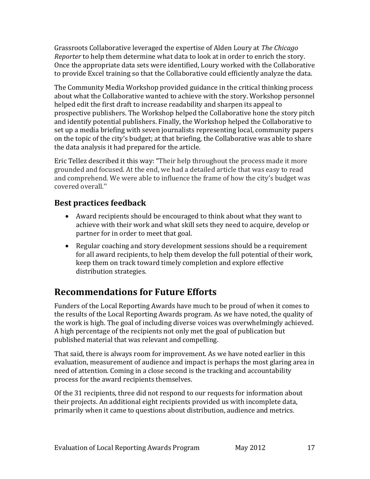Grassroots Collaborative leveraged the expertise of Alden Loury at *The Chicago Reporter* to help them determine what data to look at in order to enrich the story. Once the appropriate data sets were identified, Loury worked with the Collaborative to provide Excel training so that the Collaborative could efficiently analyze the data.

The Community Media Workshop provided guidance in the critical thinking process about what the Collaborative wanted to achieve with the story. Workshop personnel helped edit the first draft to increase readability and sharpen its appeal to prospective publishers. The Workshop helped the Collaborative hone the story pitch and identify potential publishers. Finally, the Workshop helped the Collaborative to set up a media briefing with seven journalists representing local, community papers on the topic of the city's budget; at that briefing, the Collaborative was able to share the data analysis it had prepared for the article.

Eric Tellez described it this way: "Their help throughout the process made it more grounded and focused. At the end, we had a detailed article that was easy to read and comprehend. We were able to influence the frame of how the city's budget was covered overall.''

### **Best practices feedback**

- Award recipients should be encouraged to think about what they want to achieve with their work and what skill sets they need to acquire, develop or partner for in order to meet that goal.
- Regular coaching and story development sessions should be a requirement for all award recipients, to help them develop the full potential of their work, keep them on track toward timely completion and explore effective distribution strategies.

## **Recommendations for Future Efforts**

Funders of the Local Reporting Awards have much to be proud of when it comes to the results of the Local Reporting Awards program. As we have noted, the quality of the work is high. The goal of including diverse voices was overwhelmingly achieved. A high percentage of the recipients not only met the goal of publication but published material that was relevant and compelling.

That said, there is always room for improvement. As we have noted earlier in this evaluation, measurement of audience and impact is perhaps the most glaring area in need of attention. Coming in a close second is the tracking and accountability process for the award recipients themselves.

Of the 31 recipients, three did not respond to our requests for information about their projects. An additional eight recipients provided us with incomplete data, primarily when it came to questions about distribution, audience and metrics.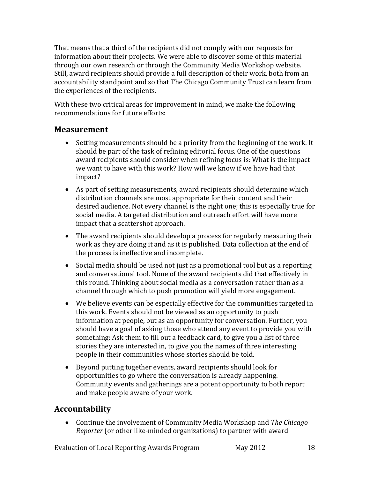That means that a third of the recipients did not comply with our requests for information about their projects. We were able to discover some of this material through our own research or through the Community Media Workshop website. Still, award recipients should provide a full description of their work, both from an accountability standpoint and so that The Chicago Community Trust can learn from the experiences of the recipients.

With these two critical areas for improvement in mind, we make the following recommendations for future efforts:

### **Measurement**

- Setting measurements should be a priority from the beginning of the work. It should be part of the task of refining editorial focus. One of the questions award recipients should consider when refining focus is: What is the impact we want to have with this work? How will we know if we have had that impact?
- As part of setting measurements, award recipients should determine which distribution channels are most appropriate for their content and their desired audience. Not every channel is the right one; this is especially true for social media. A targeted distribution and outreach effort will have more impact that a scattershot approach.
- The award recipients should develop a process for regularly measuring their work as they are doing it and as it is published. Data collection at the end of the process is ineffective and incomplete.
- Social media should be used not just as a promotional tool but as a reporting and conversational tool. None of the award recipients did that effectively in this round. Thinking about social media as a conversation rather than as a channel through which to push promotion will yield more engagement.
- We believe events can be especially effective for the communities targeted in this work. Events should not be viewed as an opportunity to push information at people, but as an opportunity for conversation. Further, you should have a goal of asking those who attend any event to provide you with something: Ask them to fill out a feedback card, to give you a list of three stories they are interested in, to give you the names of three interesting people in their communities whose stories should be told.
- Beyond putting together events, award recipients should look for opportunities to go where the conversation is already happening. Community events and gatherings are a potent opportunity to both report and make people aware of your work.

### **Accountability**

• Continue the involvement of Community Media Workshop and *The Chicago Reporter* (or other like-minded organizations) to partner with award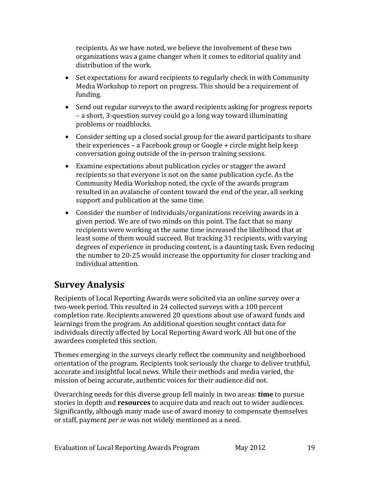recipients. As we have noted, we believe the involvement of these two organizations was a game changer when it comes to editorial quality and distribution of the work.

- Set expectations for award recipients to regularly check in with Community Media Workshop to report on progress. This should be a requirement of funding.
- Send out regular surveys to the award recipients asking for progress reports – a short, 3-question survey could go a long way toward illuminating problems or roadblocks.
- Consider setting up a closed social group for the award participants to share their experiences – a Facebook group or Google + circle might help keep conversation going outside of the in-person training sessions.
- Examine expectations about publication cycles or stagger the award recipients so that everyone is not on the same publication cycle. As the Community Media Workshop noted, the cycle of the awards program resulted in an avalanche of content toward the end of the year, all seeking support and publication at the same time.
- Consider the number of individuals/organizations receiving awards in a given period. We are of two minds on this point. The fact that so many recipients were working at the same time increased the likelihood that at least some of them would succeed. But tracking 31 recipients, with varying degrees of experience in producing content, is a daunting task. Even reducing the number to 20-25 would increase the opportunity for closer tracking and individual attention.

## **Survey Analysis**

Recipients of Local Reporting Awards were solicited via an online survey over a two-week period. This resulted in 24 collected surveys with a 100 percent completion rate. Recipients answered 20 questions about use of award funds and learnings from the program. An additional question sought contact data for individuals directly affected by Local Reporting Award work. All but one of the awardees completed this section.

Themes emerging in the surveys clearly reflect the community and neighborhood orientation of the program. Recipients took seriously the charge to deliver truthful, accurate and insightful local news. While their methods and media varied, the mission of being accurate, authentic voices for their audience did not.

Overarching needs for this diverse group fell mainly in two areas: **time** to pursue stories in depth and **resources** to acquire data and reach out to wider audiences. Significantly, although many made use of award money to compensate themselves or staff, payment *per se* was not widely mentioned as a need.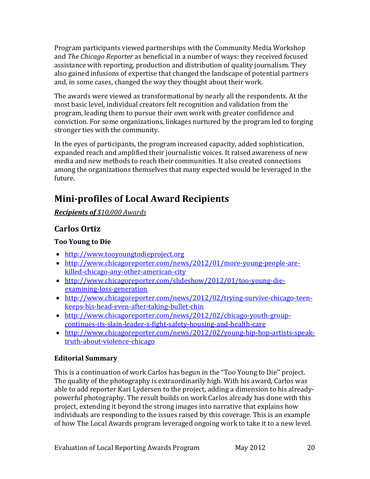Program participants viewed partnerships with the Community Media Workshop and *The Chicago Reporter* as beneficial in a number of ways: they received focused assistance with reporting, production and distribution of quality journalism. They also gained infusions of expertise that changed the landscape of potential partners and, in some cases, changed the way they thought about their work.

The awards were viewed as transformational by nearly all the respondents. At the most basic level, individual creators felt recognition and validation from the program, leading them to pursue their own work with greater confidence and conviction. For some organizations, linkages nurtured by the program led to forging stronger ties with the community.

In the eyes of participants, the program increased capacity, added sophistication, expanded reach and amplified their journalistic voices. It raised awareness of new media and new methods to reach their communities. It also created connections among the organizations themselves that many expected would be leveraged in the future.

## **Mini-profiles of Local Award Recipients**

*Recipients of \$10,000 Awards*

### **Carlos Ortiz**

### **Too Young to Die**

- [http://www.tooyoungtodieproject.org](http://www.tooyoungtodieproject.org/)
- [http://www.chicagoreporter.com/news/2012/01/more-young-people-are](http://www.chicagoreporter.com/news/2012/01/more-young-people-are-killed-chicago-any-other-american-city)[killed-chicago-any-other-american-city](http://www.chicagoreporter.com/news/2012/01/more-young-people-are-killed-chicago-any-other-american-city)
- [http://www.chicagoreporter.com/slideshow/2012/01/too-young-die](http://www.chicagoreporter.com/slideshow/2012/01/too-young-die-examining-loss-generation)[examining-loss-generation](http://www.chicagoreporter.com/slideshow/2012/01/too-young-die-examining-loss-generation)
- [http://www.chicagoreporter.com/news/2012/02/trying-survive-chicago-teen](http://www.chicagoreporter.com/news/2012/02/trying-survive-chicago-teen-keeps-his-head-even-after-taking-bullet-chin)[keeps-his-head-even-after-taking-bullet-chin](http://www.chicagoreporter.com/news/2012/02/trying-survive-chicago-teen-keeps-his-head-even-after-taking-bullet-chin)
- [http://www.chicagoreporter.com/news/2012/02/chicago-youth-group](http://www.chicagoreporter.com/news/2012/02/chicago-youth-group-continues-its-slain-leader-s-fight-safety-housing-and-health-care)[continues-its-slain-leader-s-fight-safety-housing-and-health-care](http://www.chicagoreporter.com/news/2012/02/chicago-youth-group-continues-its-slain-leader-s-fight-safety-housing-and-health-care)
- [http://www.chicagoreporter.com/news/2012/02/young-hip-hop-artists-speak](http://www.chicagoreporter.com/news/2012/02/young-hip-hop-artists-speak-truth-about-violence-chicago)[truth-about-violence-chicago](http://www.chicagoreporter.com/news/2012/02/young-hip-hop-artists-speak-truth-about-violence-chicago)

### **Editorial Summary**

This is a continuation of work Carlos has begun in the "Too Young to Die'' project. The quality of the photography is extraordinarily high. With his award, Carlos was able to add reporter Kari Lydersen to the project, adding a dimension to his alreadypowerful photography. The result builds on work Carlos already has done with this project, extending it beyond the strong images into narrative that explains how individuals are responding to the issues raised by this coverage. This is an example of how The Local Awards program leveraged ongoing work to take it to a new level.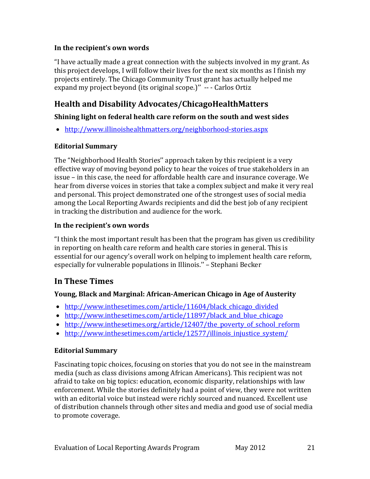#### **In the recipient's own words**

"I have actually made a great connection with the subjects involved in my grant. As this project develops, I will follow their lives for the next six months as I finish my projects entirely. The Chicago Community Trust grant has actually helped me expand my project beyond (its original scope.)'' -- - Carlos Ortiz

### **Health and Disability Advocates/ChicagoHealthMatters**

#### **Shining light on federal health care reform on the south and west sides**

• <http://www.illinoishealthmatters.org/neighborhood-stories.aspx>

#### **Editorial Summary**

The "Neighborhood Health Stories'' approach taken by this recipient is a very effective way of moving beyond policy to hear the voices of true stakeholders in an issue – in this case, the need for affordable health care and insurance coverage. We hear from diverse voices in stories that take a complex subject and make it very real and personal. This project demonstrated one of the strongest uses of social media among the Local Reporting Awards recipients and did the best job of any recipient in tracking the distribution and audience for the work.

#### **In the recipient's own words**

"I think the most important result has been that the program has given us credibility in reporting on health care reform and health care stories in general. This is essential for our agency's overall work on helping to implement health care reform, especially for vulnerable populations in Illinois.'' – Stephani Becker

### **In These Times**

#### **Young, Black and Marginal: African-American Chicago in Age of Austerity**

- http://www.inthesetimes.com/article/11604/black chicago divided
- http://www.inthesetimes.com/article/11897/black and blue chicago
- http://www.inthesetimes.org/article/12407/the poverty of school reform
- [http://www.inthesetimes.com/article/12577/illinois\\_injustice\\_system/](http://www.inthesetimes.com/article/12577/illinois_injustice_system/)

#### **Editorial Summary**

Fascinating topic choices, focusing on stories that you do not see in the mainstream media (such as class divisions among African Americans). This recipient was not afraid to take on big topics: education, economic disparity, relationships with law enforcement. While the stories definitely had a point of view, they were not written with an editorial voice but instead were richly sourced and nuanced. Excellent use of distribution channels through other sites and media and good use of social media to promote coverage.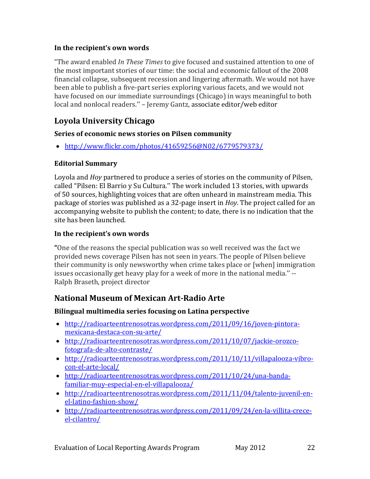#### **In the recipient's own words**

"The award enabled *In These Times* to give focused and sustained attention to one of the most important stories of our time: the social and economic fallout of the 2008 financial collapse, subsequent recession and lingering aftermath. We would not have been able to publish a five-part series exploring various facets, and we would not have focused on our immediate surroundings (Chicago) in ways meaningful to both local and nonlocal readers.'' – Jeremy Gantz, associate editor/web editor

### **Loyola University Chicago**

### **Series of economic news stories on Pilsen community**

• <http://www.flickr.com/photos/41659256@N02/6779579373/>

#### **Editorial Summary**

Loyola and *Hoy* partnered to produce a series of stories on the community of Pilsen, called "Pilsen: El Barrio y Su Cultura.'' The work included 13 stories, with upwards of 50 sources, highlighting voices that are often unheard in mainstream media. This package of stories was published as a 32-page insert in *Hoy*. The project called for an accompanying website to publish the content; to date, there is no indication that the site has been launched.

### **In the recipient's own words**

**"**One of the reasons the special publication was so well received was the fact we provided news coverage Pilsen has not seen in years. The people of Pilsen believe their community is only newsworthy when crime takes place or [when] immigration issues occasionally get heavy play for a week of more in the national media.'' -- Ralph Braseth, project director

### **National Museum of Mexican Art-Radio Arte**

### **Bilingual multimedia series focusing on Latina perspective**

- [http://radioarteentrenosotras.wordpress.com/2011/09/16/joven-pintora](http://radioarteentrenosotras.wordpress.com/2011/09/16/joven-pintora-mexicana-destaca-con-su-arte/)[mexicana-destaca-con-su-arte/](http://radioarteentrenosotras.wordpress.com/2011/09/16/joven-pintora-mexicana-destaca-con-su-arte/)
- [http://radioarteentrenosotras.wordpress.com/2011/10/07/jackie-orozco](http://radioarteentrenosotras.wordpress.com/2011/10/07/jackie-orozco-fotografa-de-alto-contraste/)[fotografa-de-alto-contraste/](http://radioarteentrenosotras.wordpress.com/2011/10/07/jackie-orozco-fotografa-de-alto-contraste/)
- [http://radioarteentrenosotras.wordpress.com/2011/10/11/villapalooza-vibro](http://radioarteentrenosotras.wordpress.com/2011/10/11/villapalooza-vibro-con-el-arte-local/)[con-el-arte-local/](http://radioarteentrenosotras.wordpress.com/2011/10/11/villapalooza-vibro-con-el-arte-local/)
- [http://radioarteentrenosotras.wordpress.com/2011/10/24/una-banda](http://radioarteentrenosotras.wordpress.com/2011/10/24/una-banda-familiar-muy-especial-en-el-villapalooza/)[familiar-muy-especial-en-el-villapalooza/](http://radioarteentrenosotras.wordpress.com/2011/10/24/una-banda-familiar-muy-especial-en-el-villapalooza/)
- [http://radioarteentrenosotras.wordpress.com/2011/11/04/talento-juvenil-en](http://radioarteentrenosotras.wordpress.com/2011/11/04/talento-juvenil-en-el-latino-fashion-show/)[el-latino-fashion-show/](http://radioarteentrenosotras.wordpress.com/2011/11/04/talento-juvenil-en-el-latino-fashion-show/)
- [http://radioarteentrenosotras.wordpress.com/2011/09/24/en-la-villita-crece](http://radioarteentrenosotras.wordpress.com/2011/09/24/en-la-villita-crece-el-cilantro/)[el-cilantro/](http://radioarteentrenosotras.wordpress.com/2011/09/24/en-la-villita-crece-el-cilantro/)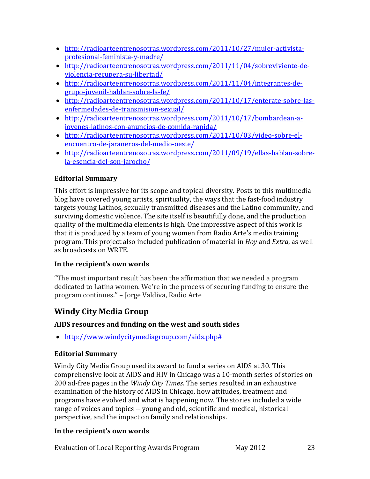- [http://radioarteentrenosotras.wordpress.com/2011/10/27/mujer-activista](http://radioarteentrenosotras.wordpress.com/2011/10/27/mujer-activista-profesional-feminista-y-madre/)[profesional-feminista-y-madre/](http://radioarteentrenosotras.wordpress.com/2011/10/27/mujer-activista-profesional-feminista-y-madre/)
- [http://radioarteentrenosotras.wordpress.com/2011/11/04/sobreviviente-de](http://radioarteentrenosotras.wordpress.com/2011/11/04/sobreviviente-de-violencia-recupera-su-libertad/)[violencia-recupera-su-libertad/](http://radioarteentrenosotras.wordpress.com/2011/11/04/sobreviviente-de-violencia-recupera-su-libertad/)
- [http://radioarteentrenosotras.wordpress.com/2011/11/04/integrantes-de](http://radioarteentrenosotras.wordpress.com/2011/11/04/integrantes-de-grupo-juvenil-hablan-sobre-la-fe/)[grupo-juvenil-hablan-sobre-la-fe/](http://radioarteentrenosotras.wordpress.com/2011/11/04/integrantes-de-grupo-juvenil-hablan-sobre-la-fe/)
- [http://radioarteentrenosotras.wordpress.com/2011/10/17/enterate-sobre-las](http://radioarteentrenosotras.wordpress.com/2011/10/17/enterate-sobre-las-enfermedades-de-transmision-sexual/)[enfermedades-de-transmision-sexual/](http://radioarteentrenosotras.wordpress.com/2011/10/17/enterate-sobre-las-enfermedades-de-transmision-sexual/)
- [http://radioarteentrenosotras.wordpress.com/2011/10/17/bombardean-a](http://radioarteentrenosotras.wordpress.com/2011/10/17/bombardean-a-jovenes-latinos-con-anuncios-de-comida-rapida/)[jovenes-latinos-con-anuncios-de-comida-rapida/](http://radioarteentrenosotras.wordpress.com/2011/10/17/bombardean-a-jovenes-latinos-con-anuncios-de-comida-rapida/)
- [http://radioarteentrenosotras.wordpress.com/2011/10/03/video-sobre-el](http://radioarteentrenosotras.wordpress.com/2011/10/03/video-sobre-el-encuentro-de-jaraneros-del-medio-oeste/)[encuentro-de-jaraneros-del-medio-oeste/](http://radioarteentrenosotras.wordpress.com/2011/10/03/video-sobre-el-encuentro-de-jaraneros-del-medio-oeste/)
- [http://radioarteentrenosotras.wordpress.com/2011/09/19/ellas-hablan-sobre](http://radioarteentrenosotras.wordpress.com/2011/09/19/ellas-hablan-sobre-la-esencia-del-son-jarocho/)[la-esencia-del-son-jarocho/](http://radioarteentrenosotras.wordpress.com/2011/09/19/ellas-hablan-sobre-la-esencia-del-son-jarocho/)

### **Editorial Summary**

This effort is impressive for its scope and topical diversity. Posts to this multimedia blog have covered young artists, spirituality, the ways that the fast-food industry targets young Latinos, sexually transmitted diseases and the Latino community, and surviving domestic violence. The site itself is beautifully done, and the production quality of the multimedia elements is high. One impressive aspect of this work is that it is produced by a team of young women from Radio Arte's media training program. This project also included publication of material in *Hoy* and *Extra*, as well as broadcasts on WRTE.

### **In the recipient's own words**

"The most important result has been the affirmation that we needed a program dedicated to Latina women. We're in the process of securing funding to ensure the program continues.'' – Jorge Valdiva, Radio Arte

### **Windy City Media Group**

### **AIDS resources and funding on the west and south sides**

• [http://www.windycitymediagroup.com/aids.php#](http://www.windycitymediagroup.com/aids.php)

### **Editorial Summary**

Windy City Media Group used its award to fund a series on AIDS at 30. This comprehensive look at AIDS and HIV in Chicago was a 10-month series of stories on 200 ad-free pages in the *Windy City Times*. The series resulted in an exhaustive examination of the history of AIDS in Chicago, how attitudes, treatment and programs have evolved and what is happening now. The stories included a wide range of voices and topics -- young and old, scientific and medical, historical perspective, and the impact on family and relationships.

### **In the recipient's own words**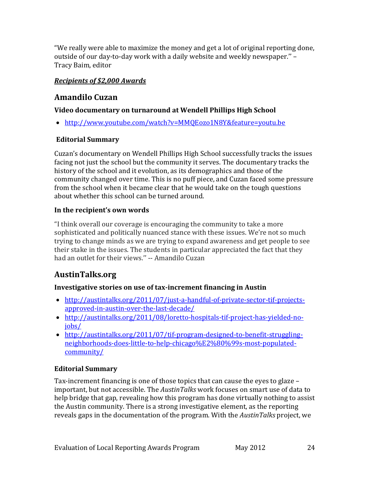"We really were able to maximize the money and get a lot of original reporting done, outside of our day-to-day work with a daily website and weekly newspaper.'' – Tracy Baim, editor

### *Recipients of \$2,000 Awards*

### **Amandilo Cuzan**

### **Video documentary on turnaround at Wendell Phillips High School**

• <http://www.youtube.com/watch?v=MMQEozo1N8Y&feature=youtu.be>

### **Editorial Summary**

Cuzan's documentary on Wendell Phillips High School successfully tracks the issues facing not just the school but the community it serves. The documentary tracks the history of the school and it evolution, as its demographics and those of the community changed over time. This is no puff piece, and Cuzan faced some pressure from the school when it became clear that he would take on the tough questions about whether this school can be turned around.

### **In the recipient's own words**

"I think overall our coverage is encouraging the community to take a more sophisticated and politically nuanced stance with these issues. We're not so much trying to change minds as we are trying to expand awareness and get people to see their stake in the issues. The students in particular appreciated the fact that they had an outlet for their views.'' -- Amandilo Cuzan

## **AustinTalks.org**

### **Investigative stories on use of tax-increment financing in Austin**

- [http://austintalks.org/2011/07/just-a-handful-of-private-sector-tif-projects](http://austintalks.org/2011/07/just-a-handful-of-private-sector-tif-projects-approved-in-austin-over-the-last-decade/)[approved-in-austin-over-the-last-decade/](http://austintalks.org/2011/07/just-a-handful-of-private-sector-tif-projects-approved-in-austin-over-the-last-decade/)
- [http://austintalks.org/2011/08/loretto-hospitals-tif-project-has-yielded-no](http://austintalks.org/2011/08/loretto-hospitals-tif-project-has-yielded-no-jobs/)[jobs/](http://austintalks.org/2011/08/loretto-hospitals-tif-project-has-yielded-no-jobs/)
- [http://austintalks.org/2011/07/tif-program-designed-to-benefit-struggling](http://austintalks.org/2011/07/tif-program-designed-to-benefit-struggling-neighborhoods-does-little-to-help-chicago%E2%80%99s-most-populated-community/)[neighborhoods-does-little-to-help-chicago%E2%80%99s-most-populated](http://austintalks.org/2011/07/tif-program-designed-to-benefit-struggling-neighborhoods-does-little-to-help-chicago%E2%80%99s-most-populated-community/)[community/](http://austintalks.org/2011/07/tif-program-designed-to-benefit-struggling-neighborhoods-does-little-to-help-chicago%E2%80%99s-most-populated-community/)

### **Editorial Summary**

Tax-increment financing is one of those topics that can cause the eyes to glaze – important, but not accessible. The *AustinTalks* work focuses on smart use of data to help bridge that gap, revealing how this program has done virtually nothing to assist the Austin community. There is a strong investigative element, as the reporting reveals gaps in the documentation of the program. With the *AustinTalks* project, we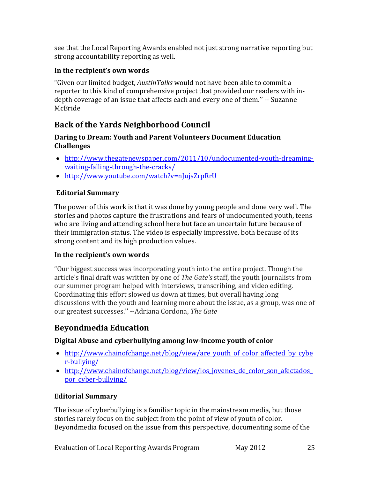see that the Local Reporting Awards enabled not just strong narrative reporting but strong accountability reporting as well.

#### **In the recipient's own words**

"Given our limited budget, *AustinTalks* would not have been able to commit a reporter to this kind of comprehensive project that provided our readers with indepth coverage of an issue that affects each and every one of them.'' -- Suzanne McBride

### **Back of the Yards Neighborhood Council**

#### **Daring to Dream: Youth and Parent Volunteers Document Education Challenges**

- [http://www.thegatenewspaper.com/2011/10/undocumented-youth-dreaming](http://www.thegatenewspaper.com/2011/10/undocumented-youth-dreaming-waiting-falling-through-the-cracks/)[waiting-falling-through-the-cracks/](http://www.thegatenewspaper.com/2011/10/undocumented-youth-dreaming-waiting-falling-through-the-cracks/)
- <http://www.youtube.com/watch?v=nJujsZrpRrU>

### **Editorial Summary**

The power of this work is that it was done by young people and done very well. The stories and photos capture the frustrations and fears of undocumented youth, teens who are living and attending school here but face an uncertain future because of their immigration status. The video is especially impressive, both because of its strong content and its high production values.

#### **In the recipient's own words**

"Our biggest success was incorporating youth into the entire project. Though the article's final draft was written by one of *The Gate's* staff, the youth journalists from our summer program helped with interviews, transcribing, and video editing. Coordinating this effort slowed us down at times, but overall having long discussions with the youth and learning more about the issue, as a group, was one of our greatest successes.'' --Adriana Cordona, *The Gate*

### **Beyondmedia Education**

### **Digital Abuse and cyberbullying among low-income youth of color**

- [http://www.chainofchange.net/blog/view/are\\_youth\\_of\\_color\\_affected\\_by\\_cybe](http://www.chainofchange.net/blog/view/are_youth_of_color_affected_by_cyber-bullying/) [r-bullying/](http://www.chainofchange.net/blog/view/are_youth_of_color_affected_by_cyber-bullying/)
- http://www.chainofchange.net/blog/view/los\_jovenes\_de\_color\_son\_afectados [por\\_cyber-bullying/](http://www.chainofchange.net/blog/view/los_jovenes_de_color_son_afectados_por_cyber-bullying/)

### **Editorial Summary**

The issue of cyberbullying is a familiar topic in the mainstream media, but those stories rarely focus on the subject from the point of view of youth of color. Beyondmedia focused on the issue from this perspective, documenting some of the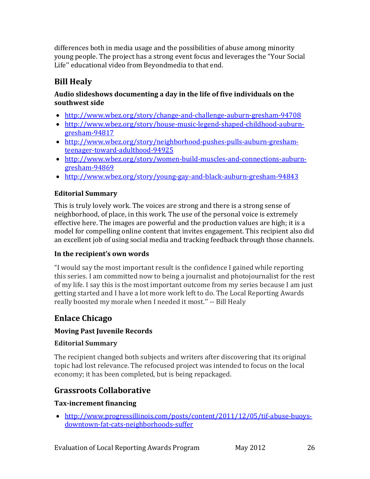differences both in media usage and the possibilities of abuse among minority young people. The project has a strong event focus and leverages the "Your Social Life'' educational video from Beyondmedia to that end.

### **Bill Healy**

#### **Audio slideshows documenting a day in the life of five individuals on the southwest side**

- <http://www.wbez.org/story/change-and-challenge-auburn-gresham-94708>
- [http://www.wbez.org/story/house-music-legend-shaped-childhood-auburn](http://www.wbez.org/story/house-music-legend-shaped-childhood-auburn-gresham-94817)[gresham-94817](http://www.wbez.org/story/house-music-legend-shaped-childhood-auburn-gresham-94817)
- [http://www.wbez.org/story/neighborhood-pushes-pulls-auburn-gresham](http://www.wbez.org/story/neighborhood-pushes-pulls-auburn-gresham-teenager-toward-adulthood-94925)[teenager-toward-adulthood-94925](http://www.wbez.org/story/neighborhood-pushes-pulls-auburn-gresham-teenager-toward-adulthood-94925)
- [http://www.wbez.org/story/women-build-muscles-and-connections-auburn](http://www.wbez.org/story/women-build-muscles-and-connections-auburn-gresham-94869)[gresham-94869](http://www.wbez.org/story/women-build-muscles-and-connections-auburn-gresham-94869)
- <http://www.wbez.org/story/young-gay-and-black-auburn-gresham-94843>

### **Editorial Summary**

This is truly lovely work. The voices are strong and there is a strong sense of neighborhood, of place, in this work. The use of the personal voice is extremely effective here. The images are powerful and the production values are high; it is a model for compelling online content that invites engagement. This recipient also did an excellent job of using social media and tracking feedback through those channels.

### **In the recipient's own words**

"I would say the most important result is the confidence I gained while reporting this series. I am committed now to being a journalist and photojournalist for the rest of my life. I say this is the most important outcome from my series because I am just getting started and I have a lot more work left to do. The Local Reporting Awards really boosted my morale when I needed it most.'' -- Bill Healy

### **Enlace Chicago**

### **Moving Past Juvenile Records**

### **Editorial Summary**

The recipient changed both subjects and writers after discovering that its original topic had lost relevance. The refocused project was intended to focus on the local economy; it has been completed, but is being repackaged.

### **Grassroots Collaborative**

### **Tax-increment financing**

• [http://www.progressillinois.com/posts/content/2011/12/05/tif-abuse-buoys](http://www.progressillinois.com/posts/content/2011/12/05/tif-abuse-buoys-downtown-fat-cats-neighborhoods-suffer)[downtown-fat-cats-neighborhoods-suffer](http://www.progressillinois.com/posts/content/2011/12/05/tif-abuse-buoys-downtown-fat-cats-neighborhoods-suffer)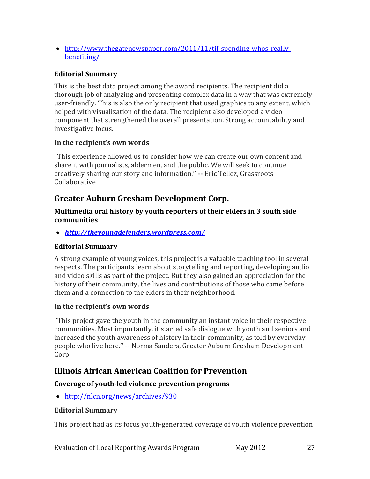• [http://www.thegatenewspaper.com/2011/11/tif-spending-whos-really](http://www.thegatenewspaper.com/2011/11/tif-spending-whos-really-benefiting/)[benefiting/](http://www.thegatenewspaper.com/2011/11/tif-spending-whos-really-benefiting/)

### **Editorial Summary**

This is the best data project among the award recipients. The recipient did a thorough job of analyzing and presenting complex data in a way that was extremely user-friendly. This is also the only recipient that used graphics to any extent, which helped with visualization of the data. The recipient also developed a video component that strengthened the overall presentation. Strong accountability and investigative focus.

#### **In the recipient's own words**

"This experience allowed us to consider how we can create our own content and share it with journalists, aldermen, and the public. We will seek to continue creatively sharing our story and information.'' **--** Eric Tellez, Grassroots Collaborative

### **Greater Auburn Gresham Development Corp.**

#### **Multimedia oral history by youth reporters of their elders in 3 south side communities**

• *<http://theyoungdefenders.wordpress.com/>*

### **Editorial Summary**

A strong example of young voices, this project is a valuable teaching tool in several respects. The participants learn about storytelling and reporting, developing audio and video skills as part of the project. But they also gained an appreciation for the history of their community, the lives and contributions of those who came before them and a connection to the elders in their neighborhood.

### **In the recipient's own words**

''This project gave the youth in the community an instant voice in their respective communities. Most importantly, it started safe dialogue with youth and seniors and increased the youth awareness of history in their community, as told by everyday people who live here.'' -- Norma Sanders, Greater Auburn Gresham Development Corp.

### **Illinois African American Coalition for Prevention**

### **Coverage of youth-led violence prevention programs**

• <http://nlcn.org/news/archives/930>

### **Editorial Summary**

This project had as its focus youth-generated coverage of youth violence prevention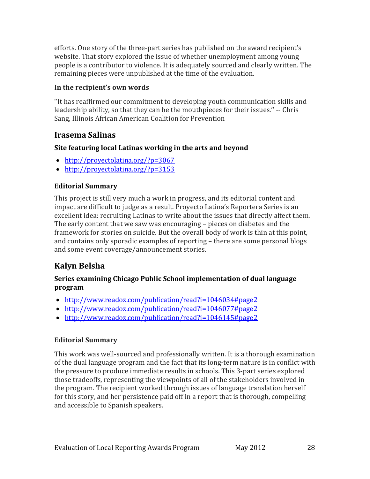efforts. One story of the three-part series has published on the award recipient's website. That story explored the issue of whether unemployment among young people is a contributor to violence. It is adequately sourced and clearly written. The remaining pieces were unpublished at the time of the evaluation.

#### **In the recipient's own words**

''It has reaffirmed our commitment to developing youth communication skills and leadership ability, so that they can be the mouthpieces for their issues.'' -- Chris Sang, Illinois African American Coalition for Prevention

### **Irasema Salinas**

### **Site featuring local Latinas working in the arts and beyond**

- <http://proyectolatina.org/?p=3067>
- <http://proyectolatina.org/?p=3153>

### **Editorial Summary**

This project is still very much a work in progress, and its editorial content and impact are difficult to judge as a result. Proyecto Latina's Reportera Series is an excellent idea: recruiting Latinas to write about the issues that directly affect them. The early content that we saw was encouraging – pieces on diabetes and the framework for stories on suicide. But the overall body of work is thin at this point, and contains only sporadic examples of reporting – there are some personal blogs and some event coverage/announcement stories.

## **Kalyn Belsha**

#### **Series examining Chicago Public School implementation of dual language program**

- <http://www.readoz.com/publication/read?i=1046034#page2>
- <http://www.readoz.com/publication/read?i=1046077#page2>
- <http://www.readoz.com/publication/read?i=1046145#page2>

### **Editorial Summary**

This work was well-sourced and professionally written. It is a thorough examination of the dual language program and the fact that its long-term nature is in conflict with the pressure to produce immediate results in schools. This 3-part series explored those tradeoffs, representing the viewpoints of all of the stakeholders involved in the program. The recipient worked through issues of language translation herself for this story, and her persistence paid off in a report that is thorough, compelling and accessible to Spanish speakers.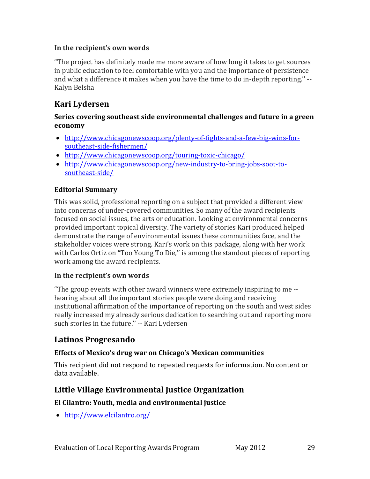#### **In the recipient's own words**

"The project has definitely made me more aware of how long it takes to get sources in public education to feel comfortable with you and the importance of persistence and what a difference it makes when you have the time to do in-depth reporting.'' -- Kalyn Belsha

### **Kari Lydersen**

#### **Series covering southeast side environmental challenges and future in a green economy**

- [http://www.chicagonewscoop.org/plenty-of-fights-and-a-few-big-wins-for](http://www.chicagonewscoop.org/plenty-of-fights-and-a-few-big-wins-for-southeast-side-fishermen/)[southeast-side-fishermen/](http://www.chicagonewscoop.org/plenty-of-fights-and-a-few-big-wins-for-southeast-side-fishermen/)
- <http://www.chicagonewscoop.org/touring-toxic-chicago/>
- [http://www.chicagonewscoop.org/new-industry-to-bring-jobs-soot-to](http://www.chicagonewscoop.org/new-industry-to-bring-jobs-soot-to-southeast-side/)[southeast-side/](http://www.chicagonewscoop.org/new-industry-to-bring-jobs-soot-to-southeast-side/)

#### **Editorial Summary**

This was solid, professional reporting on a subject that provided a different view into concerns of under-covered communities. So many of the award recipients focused on social issues, the arts or education. Looking at environmental concerns provided important topical diversity. The variety of stories Kari produced helped demonstrate the range of environmental issues these communities face, and the stakeholder voices were strong. Kari's work on this package, along with her work with Carlos Ortiz on "Too Young To Die,'' is among the standout pieces of reporting work among the award recipients.

#### **In the recipient's own words**

"The group events with other award winners were extremely inspiring to me - hearing about all the important stories people were doing and receiving institutional affirmation of the importance of reporting on the south and west sides really increased my already serious dedication to searching out and reporting more such stories in the future.'' -- Kari Lydersen

### **Latinos Progresando**

#### **Effects of Mexico's drug war on Chicago's Mexican communities**

This recipient did not respond to repeated requests for information. No content or data available.

### **Little Village Environmental Justice Organization**

#### **El Cilantro: Youth, media and environmental justice**

• <http://www.elcilantro.org/>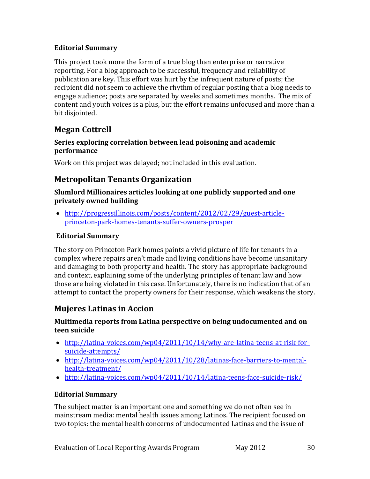#### **Editorial Summary**

This project took more the form of a true blog than enterprise or narrative reporting. For a blog approach to be successful, frequency and reliability of publication are key. This effort was hurt by the infrequent nature of posts; the recipient did not seem to achieve the rhythm of regular posting that a blog needs to engage audience; posts are separated by weeks and sometimes months. The mix of content and youth voices is a plus, but the effort remains unfocused and more than a bit disjointed.

### **Megan Cottrell**

#### **Series exploring correlation between lead poisoning and academic performance**

Work on this project was delayed; not included in this evaluation.

### **Metropolitan Tenants Organization**

#### **Slumlord Millionaires articles looking at one publicly supported and one privately owned building**

• [http://progressillinois.com/posts/content/2012/02/29/guest-article](http://progressillinois.com/posts/content/2012/02/29/guest-article-princeton-park-homes-tenants-suffer-owners-prosper)[princeton-park-homes-tenants-suffer-owners-prosper](http://progressillinois.com/posts/content/2012/02/29/guest-article-princeton-park-homes-tenants-suffer-owners-prosper)

#### **Editorial Summary**

The story on Princeton Park homes paints a vivid picture of life for tenants in a complex where repairs aren't made and living conditions have become unsanitary and damaging to both property and health. The story has appropriate background and context, explaining some of the underlying principles of tenant law and how those are being violated in this case. Unfortunately, there is no indication that of an attempt to contact the property owners for their response, which weakens the story.

### **Mujeres Latinas in Accion**

#### **Multimedia reports from Latina perspective on being undocumented and on teen suicide**

- [http://latina-voices.com/wp04/2011/10/14/why-are-latina-teens-at-risk-for](http://latina-voices.com/wp04/2011/10/14/why-are-latina-teens-at-risk-for-suicide-attempts/)[suicide-attempts/](http://latina-voices.com/wp04/2011/10/14/why-are-latina-teens-at-risk-for-suicide-attempts/)
- [http://latina-voices.com/wp04/2011/10/28/latinas-face-barriers-to-mental](http://latina-voices.com/wp04/2011/10/28/latinas-face-barriers-to-mental-health-treatment/)[health-treatment/](http://latina-voices.com/wp04/2011/10/28/latinas-face-barriers-to-mental-health-treatment/)
- <http://latina-voices.com/wp04/2011/10/14/latina-teens-face-suicide-risk/>

### **Editorial Summary**

The subject matter is an important one and something we do not often see in mainstream media: mental health issues among Latinos. The recipient focused on two topics: the mental health concerns of undocumented Latinas and the issue of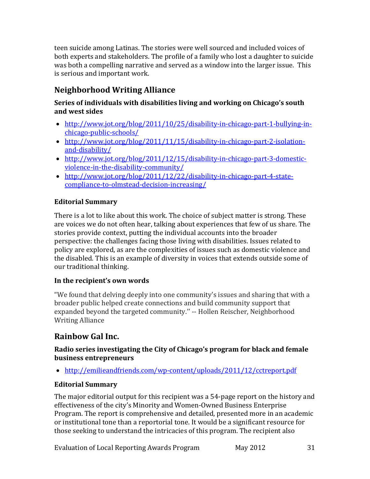teen suicide among Latinas. The stories were well sourced and included voices of both experts and stakeholders. The profile of a family who lost a daughter to suicide was both a compelling narrative and served as a window into the larger issue. This is serious and important work.

## **Neighborhood Writing Alliance**

#### **Series of individuals with disabilities living and working on Chicago's south and west sides**

- [http://www.jot.org/blog/2011/10/25/disability-in-chicago-part-1-bullying-in](http://www.jot.org/blog/2011/10/25/disability-in-chicago-part-1-bullying-in-chicago-public-schools/)[chicago-public-schools/](http://www.jot.org/blog/2011/10/25/disability-in-chicago-part-1-bullying-in-chicago-public-schools/)
- [http://www.jot.org/blog/2011/11/15/disability-in-chicago-part-2-isolation](http://www.jot.org/blog/2011/11/15/disability-in-chicago-part-2-isolation-and-disability/)[and-disability/](http://www.jot.org/blog/2011/11/15/disability-in-chicago-part-2-isolation-and-disability/)
- [http://www.jot.org/blog/2011/12/15/disability-in-chicago-part-3-domestic](http://www.jot.org/blog/2011/12/15/disability-in-chicago-part-3-domestic-violence-in-the-disability-community/)[violence-in-the-disability-community/](http://www.jot.org/blog/2011/12/15/disability-in-chicago-part-3-domestic-violence-in-the-disability-community/)
- [http://www.jot.org/blog/2011/12/22/disability-in-chicago-part-4-state](http://www.jot.org/blog/2011/12/22/disability-in-chicago-part-4-state-compliance-to-olmstead-decision-increasing/)[compliance-to-olmstead-decision-increasing/](http://www.jot.org/blog/2011/12/22/disability-in-chicago-part-4-state-compliance-to-olmstead-decision-increasing/)

### **Editorial Summary**

There is a lot to like about this work. The choice of subject matter is strong. These are voices we do not often hear, talking about experiences that few of us share. The stories provide context, putting the individual accounts into the broader perspective: the challenges facing those living with disabilities. Issues related to policy are explored, as are the complexities of issues such as domestic violence and the disabled. This is an example of diversity in voices that extends outside some of our traditional thinking.

### **In the recipient's own words**

"We found that delving deeply into one community's issues and sharing that with a broader public helped create connections and build community support that expanded beyond the targeted community.'' -- Hollen Reischer, Neighborhood Writing Alliance

### **Rainbow Gal Inc.**

#### **Radio series investigating the City of Chicago's program for black and female business entrepreneurs**

• <http://emilieandfriends.com/wp-content/uploads/2011/12/cctreport.pdf>

### **Editorial Summary**

The major editorial output for this recipient was a 54-page report on the history and effectiveness of the city's Minority and Women-Owned Business Enterprise Program. The report is comprehensive and detailed, presented more in an academic or institutional tone than a reportorial tone. It would be a significant resource for those seeking to understand the intricacies of this program. The recipient also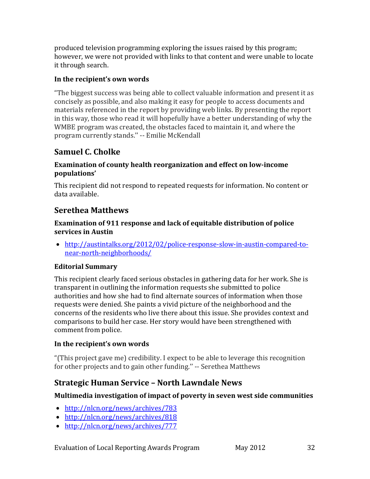produced television programming exploring the issues raised by this program; however, we were not provided with links to that content and were unable to locate it through search.

#### **In the recipient's own words**

"The biggest success was being able to collect valuable information and present it as concisely as possible, and also making it easy for people to access documents and materials referenced in the report by providing web links. By presenting the report in this way, those who read it will hopefully have a better understanding of why the WMBE program was created, the obstacles faced to maintain it, and where the program currently stands.'' -- Emilie McKendall

### **Samuel C. Cholke**

#### **Examination of county health reorganization and effect on low-income populations'**

This recipient did not respond to repeated requests for information. No content or data available.

### **Serethea Matthews**

#### **Examination of 911 response and lack of equitable distribution of police services in Austin**

• [http://austintalks.org/2012/02/police-response-slow-in-austin-compared-to](http://austintalks.org/2012/02/police-response-slow-in-austin-compared-to-near-north-neighborhoods/)[near-north-neighborhoods/](http://austintalks.org/2012/02/police-response-slow-in-austin-compared-to-near-north-neighborhoods/)

### **Editorial Summary**

This recipient clearly faced serious obstacles in gathering data for her work. She is transparent in outlining the information requests she submitted to police authorities and how she had to find alternate sources of information when those requests were denied. She paints a vivid picture of the neighborhood and the concerns of the residents who live there about this issue. She provides context and comparisons to build her case. Her story would have been strengthened with comment from police.

#### **In the recipient's own words**

"(This project gave me) credibility. I expect to be able to leverage this recognition for other projects and to gain other funding.'' -- Serethea Matthews

### **Strategic Human Service – North Lawndale News**

### **Multimedia investigation of impact of poverty in seven west side communities**

- <http://nlcn.org/news/archives/783>
- <http://nlcn.org/news/archives/818>
- <http://nlcn.org/news/archives/777>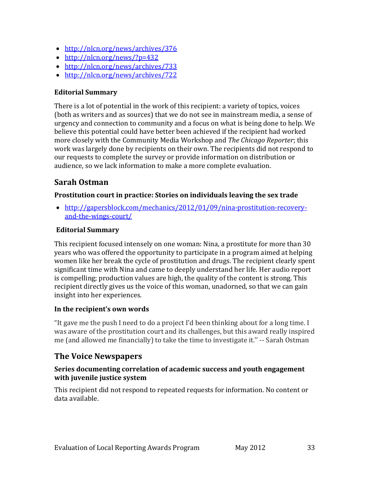- <http://nlcn.org/news/archives/376>
- <http://nlcn.org/news/?p=432>
- <http://nlcn.org/news/archives/733>
- <http://nlcn.org/news/archives/722>

#### **Editorial Summary**

There is a lot of potential in the work of this recipient: a variety of topics, voices (both as writers and as sources) that we do not see in mainstream media, a sense of urgency and connection to community and a focus on what is being done to help. We believe this potential could have better been achieved if the recipient had worked more closely with the Community Media Workshop and *The Chicago Reporter*; this work was largely done by recipients on their own. The recipients did not respond to our requests to complete the survey or provide information on distribution or audience, so we lack information to make a more complete evaluation.

### **Sarah Ostman**

#### **Prostitution court in practice: Stories on individuals leaving the sex trade**

• [http://gapersblock.com/mechanics/2012/01/09/nina-prostitution-recovery](http://gapersblock.com/mechanics/2012/01/09/nina-prostitution-recovery-and-the-wings-court/)[and-the-wings-court/](http://gapersblock.com/mechanics/2012/01/09/nina-prostitution-recovery-and-the-wings-court/)

#### **Editorial Summary**

This recipient focused intensely on one woman: Nina, a prostitute for more than 30 years who was offered the opportunity to participate in a program aimed at helping women like her break the cycle of prostitution and drugs. The recipient clearly spent significant time with Nina and came to deeply understand her life. Her audio report is compelling; production values are high, the quality of the content is strong. This recipient directly gives us the voice of this woman, unadorned, so that we can gain insight into her experiences.

#### **In the recipient's own words**

"It gave me the push I need to do a project I'd been thinking about for a long time. I was aware of the prostitution court and its challenges, but this award really inspired me (and allowed me financially) to take the time to investigate it.'' -- Sarah Ostman

### **The Voice Newspapers**

#### **Series documenting correlation of academic success and youth engagement with juvenile justice system**

This recipient did not respond to repeated requests for information. No content or data available.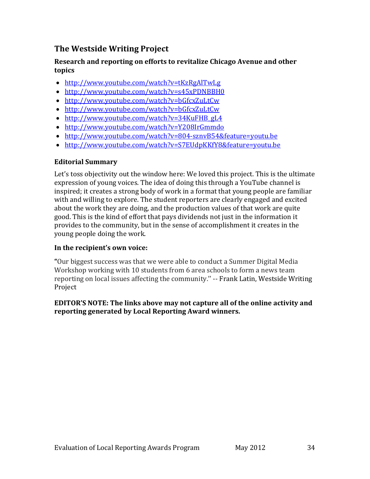### **The Westside Writing Project**

#### **Research and reporting on efforts to revitalize Chicago Avenue and other topics**

- <http://www.youtube.com/watch?v=tKzRgAlTwLg>
- <http://www.youtube.com/watch?v=s45xPDNBBH0>
- <http://www.youtube.com/watch?v=bGfcxZuLtCw>
- <http://www.youtube.com/watch?v=bGfcxZuLtCw>
- [http://www.youtube.com/watch?v=34KuFHB\\_gL4](http://www.youtube.com/watch?v=34KuFHB_gL4)
- <http://www.youtube.com/watch?v=Y208IrGmmdo>
- <http://www.youtube.com/watch?v=804-sznvB54&feature=youtu.be>
- <http://www.youtube.com/watch?v=S7EUdpKKfY8&feature=youtu.be>

#### **Editorial Summary**

Let's toss objectivity out the window here: We loved this project. This is the ultimate expression of young voices. The idea of doing this through a YouTube channel is inspired; it creates a strong body of work in a format that young people are familiar with and willing to explore. The student reporters are clearly engaged and excited about the work they are doing, and the production values of that work are quite good. This is the kind of effort that pays dividends not just in the information it provides to the community, but in the sense of accomplishment it creates in the young people doing the work.

#### **In the recipient's own voice:**

**"**Our biggest success was that we were able to conduct a Summer Digital Media Workshop working with 10 students from 6 area schools to form a news team reporting on local issues affecting the community.'' -- Frank Latin, Westside Writing Project

#### **EDITOR'S NOTE: The links above may not capture all of the online activity and reporting generated by Local Reporting Award winners.**